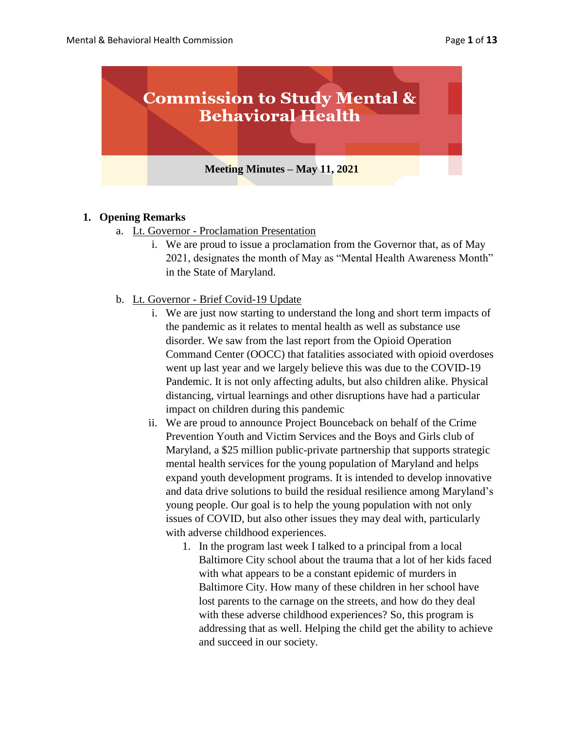

### **1. Opening Remarks**

- a. Lt. Governor Proclamation Presentation
	- i. We are proud to issue a proclamation from the Governor that, as of May 2021, designates the month of May as "Mental Health Awareness Month" in the State of Maryland.
- b. Lt. Governor Brief Covid-19 Update
	- i. We are just now starting to understand the long and short term impacts of the pandemic as it relates to mental health as well as substance use disorder. We saw from the last report from the Opioid Operation Command Center (OOCC) that fatalities associated with opioid overdoses went up last year and we largely believe this was due to the COVID-19 Pandemic. It is not only affecting adults, but also children alike. Physical distancing, virtual learnings and other disruptions have had a particular impact on children during this pandemic
	- ii. We are proud to announce Project Bounceback on behalf of the Crime Prevention Youth and Victim Services and the Boys and Girls club of Maryland, a \$25 million public-private partnership that supports strategic mental health services for the young population of Maryland and helps expand youth development programs. It is intended to develop innovative and data drive solutions to build the residual resilience among Maryland's young people. Our goal is to help the young population with not only issues of COVID, but also other issues they may deal with, particularly with adverse childhood experiences.
		- 1. In the program last week I talked to a principal from a local Baltimore City school about the trauma that a lot of her kids faced with what appears to be a constant epidemic of murders in Baltimore City. How many of these children in her school have lost parents to the carnage on the streets, and how do they deal with these adverse childhood experiences? So, this program is addressing that as well. Helping the child get the ability to achieve and succeed in our society.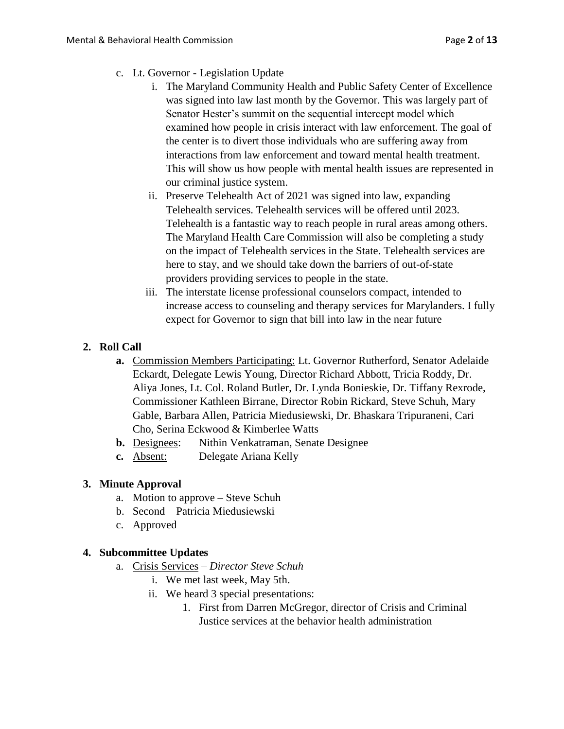- c. Lt. Governor Legislation Update
	- i. The Maryland Community Health and Public Safety Center of Excellence was signed into law last month by the Governor. This was largely part of Senator Hester's summit on the sequential intercept model which examined how people in crisis interact with law enforcement. The goal of the center is to divert those individuals who are suffering away from interactions from law enforcement and toward mental health treatment. This will show us how people with mental health issues are represented in our criminal justice system.
	- ii. Preserve Telehealth Act of 2021 was signed into law, expanding Telehealth services. Telehealth services will be offered until 2023. Telehealth is a fantastic way to reach people in rural areas among others. The Maryland Health Care Commission will also be completing a study on the impact of Telehealth services in the State. Telehealth services are here to stay, and we should take down the barriers of out-of-state providers providing services to people in the state.
	- iii. The interstate license professional counselors compact, intended to increase access to counseling and therapy services for Marylanders. I fully expect for Governor to sign that bill into law in the near future

# **2. Roll Call**

- **a.** Commission Members Participating: Lt. Governor Rutherford, Senator Adelaide Eckardt, Delegate Lewis Young, Director Richard Abbott, Tricia Roddy, Dr. Aliya Jones, Lt. Col. Roland Butler, Dr. Lynda Bonieskie, Dr. Tiffany Rexrode, Commissioner Kathleen Birrane, Director Robin Rickard, Steve Schuh, Mary Gable, Barbara Allen, Patricia Miedusiewski, Dr. Bhaskara Tripuraneni, Cari Cho, Serina Eckwood & Kimberlee Watts
- **b.** Designees: Nithin Venkatraman, Senate Designee
- **c.** Absent: Delegate Ariana Kelly

# **3. Minute Approval**

- a. Motion to approve Steve Schuh
- b. Second Patricia Miedusiewski
- c. Approved

### **4. Subcommittee Updates**

- a. Crisis Services *Director Steve Schuh*
	- i. We met last week, May 5th.
	- ii. We heard 3 special presentations:
		- 1. First from Darren McGregor, director of Crisis and Criminal Justice services at the behavior health administration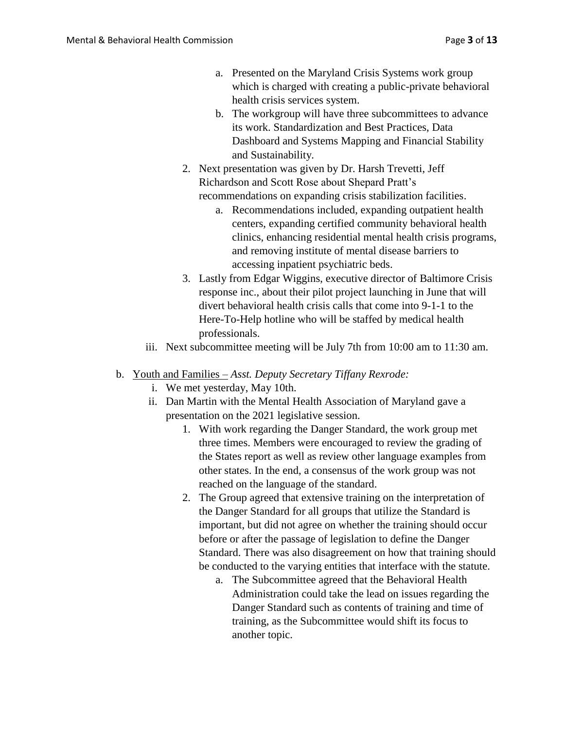- a. Presented on the Maryland Crisis Systems work group which is charged with creating a public-private behavioral health crisis services system.
- b. The workgroup will have three subcommittees to advance its work. Standardization and Best Practices, Data Dashboard and Systems Mapping and Financial Stability and Sustainability.
- 2. Next presentation was given by Dr. Harsh Trevetti, Jeff Richardson and Scott Rose about Shepard Pratt's recommendations on expanding crisis stabilization facilities.
	- a. Recommendations included, expanding outpatient health centers, expanding certified community behavioral health clinics, enhancing residential mental health crisis programs, and removing institute of mental disease barriers to accessing inpatient psychiatric beds.
- 3. Lastly from Edgar Wiggins, executive director of Baltimore Crisis response inc., about their pilot project launching in June that will divert behavioral health crisis calls that come into 9-1-1 to the Here-To-Help hotline who will be staffed by medical health professionals.
- iii. Next subcommittee meeting will be July 7th from 10:00 am to 11:30 am.
- b. Youth and Families *Asst. Deputy Secretary Tiffany Rexrode:*
	- i. We met yesterday, May 10th.
	- ii. Dan Martin with the Mental Health Association of Maryland gave a presentation on the 2021 legislative session.
		- 1. With work regarding the Danger Standard, the work group met three times. Members were encouraged to review the grading of the States report as well as review other language examples from other states. In the end, a consensus of the work group was not reached on the language of the standard.
		- 2. The Group agreed that extensive training on the interpretation of the Danger Standard for all groups that utilize the Standard is important, but did not agree on whether the training should occur before or after the passage of legislation to define the Danger Standard. There was also disagreement on how that training should be conducted to the varying entities that interface with the statute.
			- a. The Subcommittee agreed that the Behavioral Health Administration could take the lead on issues regarding the Danger Standard such as contents of training and time of training, as the Subcommittee would shift its focus to another topic.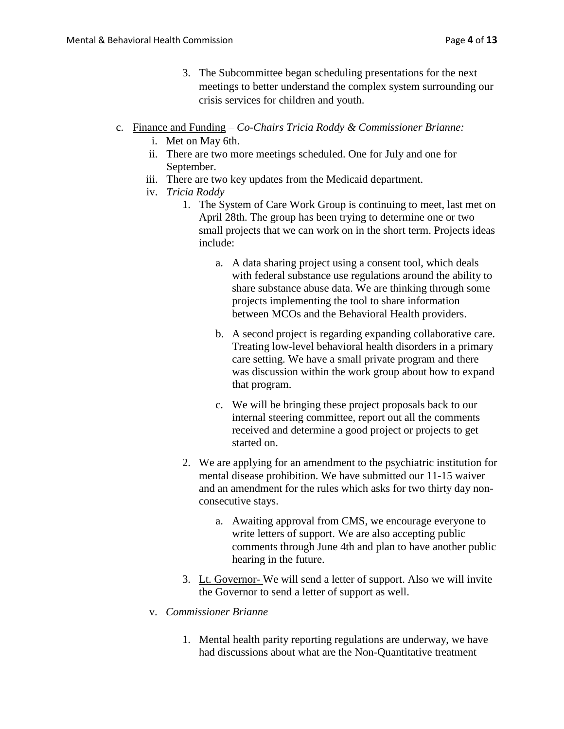- 3. The Subcommittee began scheduling presentations for the next meetings to better understand the complex system surrounding our crisis services for children and youth.
- c. Finance and Funding *Co-Chairs Tricia Roddy & Commissioner Brianne:*
	- i. Met on May 6th.
	- ii. There are two more meetings scheduled. One for July and one for September.
	- iii. There are two key updates from the Medicaid department.
	- iv. *Tricia Roddy*
		- 1. The System of Care Work Group is continuing to meet, last met on April 28th. The group has been trying to determine one or two small projects that we can work on in the short term. Projects ideas include:
			- a. A data sharing project using a consent tool, which deals with federal substance use regulations around the ability to share substance abuse data. We are thinking through some projects implementing the tool to share information between MCOs and the Behavioral Health providers.
			- b. A second project is regarding expanding collaborative care. Treating low-level behavioral health disorders in a primary care setting. We have a small private program and there was discussion within the work group about how to expand that program.
			- c. We will be bringing these project proposals back to our internal steering committee, report out all the comments received and determine a good project or projects to get started on.
		- 2. We are applying for an amendment to the psychiatric institution for mental disease prohibition. We have submitted our 11-15 waiver and an amendment for the rules which asks for two thirty day nonconsecutive stays.
			- a. Awaiting approval from CMS, we encourage everyone to write letters of support. We are also accepting public comments through June 4th and plan to have another public hearing in the future.
		- 3. Lt. Governor- We will send a letter of support. Also we will invite the Governor to send a letter of support as well.
	- v. *Commissioner Brianne*
		- 1. Mental health parity reporting regulations are underway, we have had discussions about what are the Non-Quantitative treatment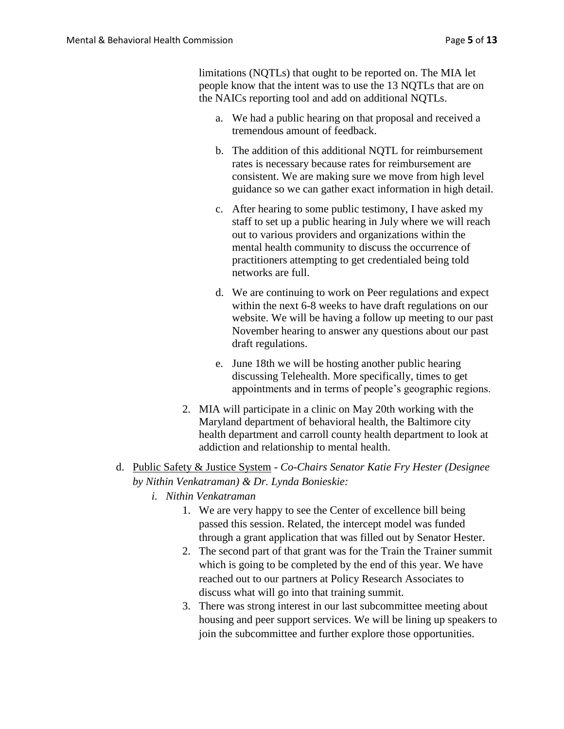limitations (NQTLs) that ought to be reported on. The MIA let people know that the intent was to use the 13 NQTLs that are on the NAICs reporting tool and add on additional NQTLs.

- a. We had a public hearing on that proposal and received a tremendous amount of feedback.
- b. The addition of this additional NQTL for reimbursement rates is necessary because rates for reimbursement are consistent. We are making sure we move from high level guidance so we can gather exact information in high detail.
- c. After hearing to some public testimony, I have asked my staff to set up a public hearing in July where we will reach out to various providers and organizations within the mental health community to discuss the occurrence of practitioners attempting to get credentialed being told networks are full.
- d. We are continuing to work on Peer regulations and expect within the next 6-8 weeks to have draft regulations on our website. We will be having a follow up meeting to our past November hearing to answer any questions about our past draft regulations.
- e. June 18th we will be hosting another public hearing discussing Telehealth. More specifically, times to get appointments and in terms of people's geographic regions.
- 2. MIA will participate in a clinic on May 20th working with the Maryland department of behavioral health, the Baltimore city health department and carroll county health department to look at addiction and relationship to mental health.
- d. Public Safety & Justice System *Co-Chairs Senator Katie Fry Hester (Designee by Nithin Venkatraman) & Dr. Lynda Bonieskie:*
	- *i. Nithin Venkatraman*
		- 1. We are very happy to see the Center of excellence bill being passed this session. Related, the intercept model was funded through a grant application that was filled out by Senator Hester.
		- 2. The second part of that grant was for the Train the Trainer summit which is going to be completed by the end of this year. We have reached out to our partners at Policy Research Associates to discuss what will go into that training summit.
		- 3. There was strong interest in our last subcommittee meeting about housing and peer support services. We will be lining up speakers to join the subcommittee and further explore those opportunities.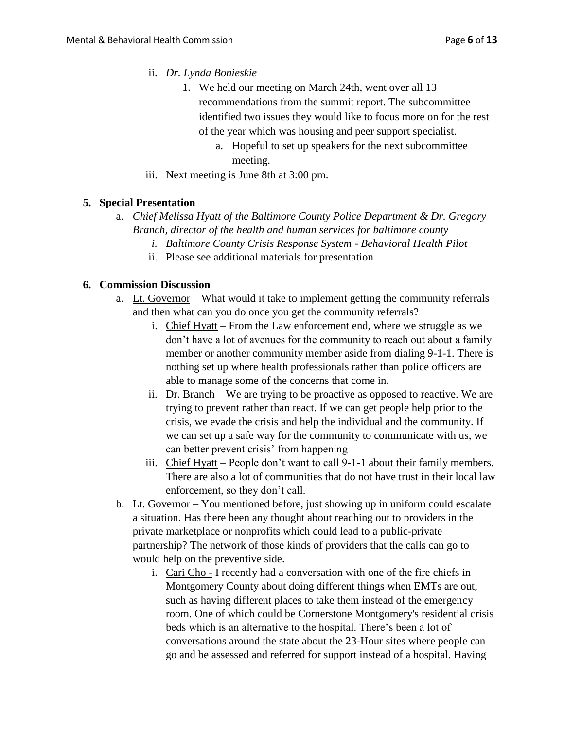- ii. *Dr. Lynda Bonieskie*
	- 1. We held our meeting on March 24th, went over all 13 recommendations from the summit report. The subcommittee identified two issues they would like to focus more on for the rest of the year which was housing and peer support specialist.
		- a. Hopeful to set up speakers for the next subcommittee meeting.
- iii. Next meeting is June 8th at 3:00 pm.

## **5. Special Presentation**

- a. *Chief Melissa Hyatt of the Baltimore County Police Department & Dr. Gregory Branch, director of the health and human services for baltimore county*
	- *i. Baltimore County Crisis Response System - Behavioral Health Pilot*
	- ii. Please see additional materials for presentation

## **6. Commission Discussion**

- a. Lt. Governor What would it take to implement getting the community referrals and then what can you do once you get the community referrals?
	- i. Chief Hyatt From the Law enforcement end, where we struggle as we don't have a lot of avenues for the community to reach out about a family member or another community member aside from dialing 9-1-1. There is nothing set up where health professionals rather than police officers are able to manage some of the concerns that come in.
	- ii.  $Dr. Branch$  We are trying to be proactive as opposed to reactive. We are trying to prevent rather than react. If we can get people help prior to the crisis, we evade the crisis and help the individual and the community. If we can set up a safe way for the community to communicate with us, we can better prevent crisis' from happening
	- iii. Chief Hyatt People don't want to call 9-1-1 about their family members. There are also a lot of communities that do not have trust in their local law enforcement, so they don't call.
- b. Lt. Governor You mentioned before, just showing up in uniform could escalate a situation. Has there been any thought about reaching out to providers in the private marketplace or nonprofits which could lead to a public-private partnership? The network of those kinds of providers that the calls can go to would help on the preventive side.
	- i. Cari Cho I recently had a conversation with one of the fire chiefs in Montgomery County about doing different things when EMTs are out, such as having different places to take them instead of the emergency room. One of which could be Cornerstone Montgomery's residential crisis beds which is an alternative to the hospital. There's been a lot of conversations around the state about the 23-Hour sites where people can go and be assessed and referred for support instead of a hospital. Having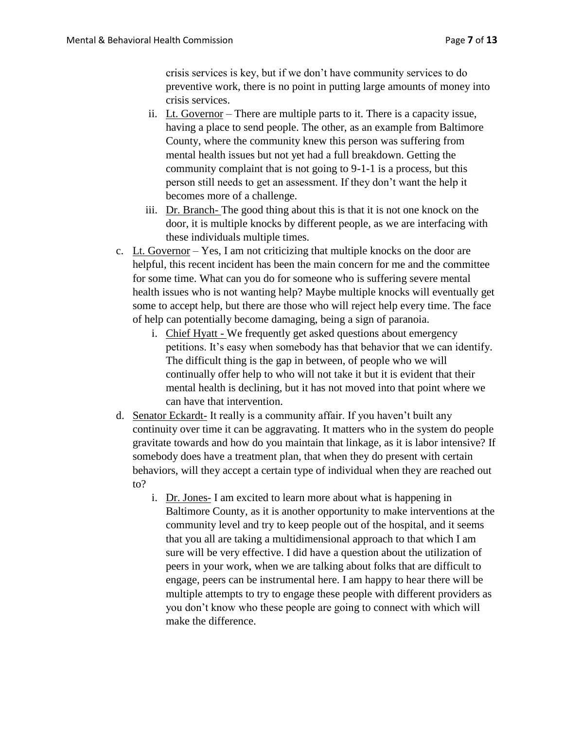crisis services is key, but if we don't have community services to do preventive work, there is no point in putting large amounts of money into crisis services.

- ii. Lt. Governor There are multiple parts to it. There is a capacity issue, having a place to send people. The other, as an example from Baltimore County, where the community knew this person was suffering from mental health issues but not yet had a full breakdown. Getting the community complaint that is not going to 9-1-1 is a process, but this person still needs to get an assessment. If they don't want the help it becomes more of a challenge.
- iii. Dr. Branch- The good thing about this is that it is not one knock on the door, it is multiple knocks by different people, as we are interfacing with these individuals multiple times.
- c. Lt. Governor Yes, I am not criticizing that multiple knocks on the door are helpful, this recent incident has been the main concern for me and the committee for some time. What can you do for someone who is suffering severe mental health issues who is not wanting help? Maybe multiple knocks will eventually get some to accept help, but there are those who will reject help every time. The face of help can potentially become damaging, being a sign of paranoia.
	- i. Chief Hyatt We frequently get asked questions about emergency petitions. It's easy when somebody has that behavior that we can identify. The difficult thing is the gap in between, of people who we will continually offer help to who will not take it but it is evident that their mental health is declining, but it has not moved into that point where we can have that intervention.
- d. Senator Eckardt- It really is a community affair. If you haven't built any continuity over time it can be aggravating. It matters who in the system do people gravitate towards and how do you maintain that linkage, as it is labor intensive? If somebody does have a treatment plan, that when they do present with certain behaviors, will they accept a certain type of individual when they are reached out to?
	- i. Dr. Jones- I am excited to learn more about what is happening in Baltimore County, as it is another opportunity to make interventions at the community level and try to keep people out of the hospital, and it seems that you all are taking a multidimensional approach to that which I am sure will be very effective. I did have a question about the utilization of peers in your work, when we are talking about folks that are difficult to engage, peers can be instrumental here. I am happy to hear there will be multiple attempts to try to engage these people with different providers as you don't know who these people are going to connect with which will make the difference.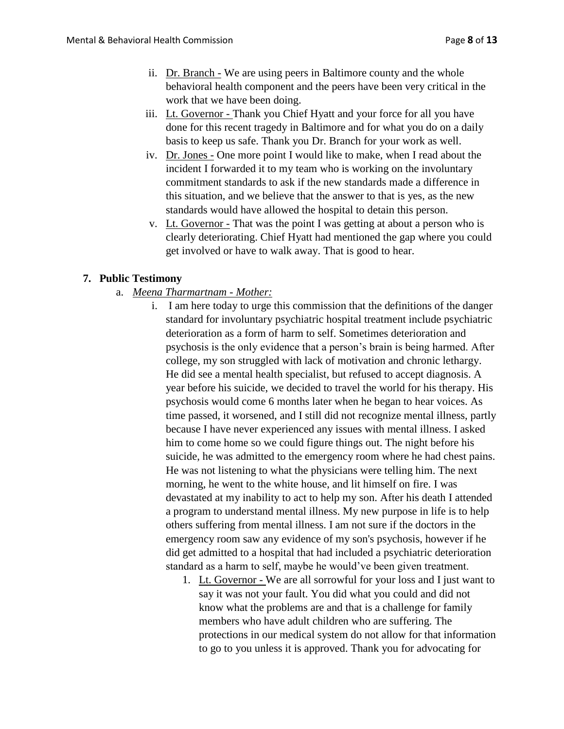- ii. Dr. Branch We are using peers in Baltimore county and the whole behavioral health component and the peers have been very critical in the work that we have been doing.
- iii. Lt. Governor Thank you Chief Hyatt and your force for all you have done for this recent tragedy in Baltimore and for what you do on a daily basis to keep us safe. Thank you Dr. Branch for your work as well.
- iv. Dr. Jones One more point I would like to make, when I read about the incident I forwarded it to my team who is working on the involuntary commitment standards to ask if the new standards made a difference in this situation, and we believe that the answer to that is yes, as the new standards would have allowed the hospital to detain this person.
- v. Lt. Governor That was the point I was getting at about a person who is clearly deteriorating. Chief Hyatt had mentioned the gap where you could get involved or have to walk away. That is good to hear.

### **7. Public Testimony**

- a. *Meena Tharmartnam - Mother:*
	- i. I am here today to urge this commission that the definitions of the danger standard for involuntary psychiatric hospital treatment include psychiatric deterioration as a form of harm to self. Sometimes deterioration and psychosis is the only evidence that a person's brain is being harmed. After college, my son struggled with lack of motivation and chronic lethargy. He did see a mental health specialist, but refused to accept diagnosis. A year before his suicide, we decided to travel the world for his therapy. His psychosis would come 6 months later when he began to hear voices. As time passed, it worsened, and I still did not recognize mental illness, partly because I have never experienced any issues with mental illness. I asked him to come home so we could figure things out. The night before his suicide, he was admitted to the emergency room where he had chest pains. He was not listening to what the physicians were telling him. The next morning, he went to the white house, and lit himself on fire. I was devastated at my inability to act to help my son. After his death I attended a program to understand mental illness. My new purpose in life is to help others suffering from mental illness. I am not sure if the doctors in the emergency room saw any evidence of my son's psychosis, however if he did get admitted to a hospital that had included a psychiatric deterioration standard as a harm to self, maybe he would've been given treatment.
		- 1. Lt. Governor We are all sorrowful for your loss and I just want to say it was not your fault. You did what you could and did not know what the problems are and that is a challenge for family members who have adult children who are suffering. The protections in our medical system do not allow for that information to go to you unless it is approved. Thank you for advocating for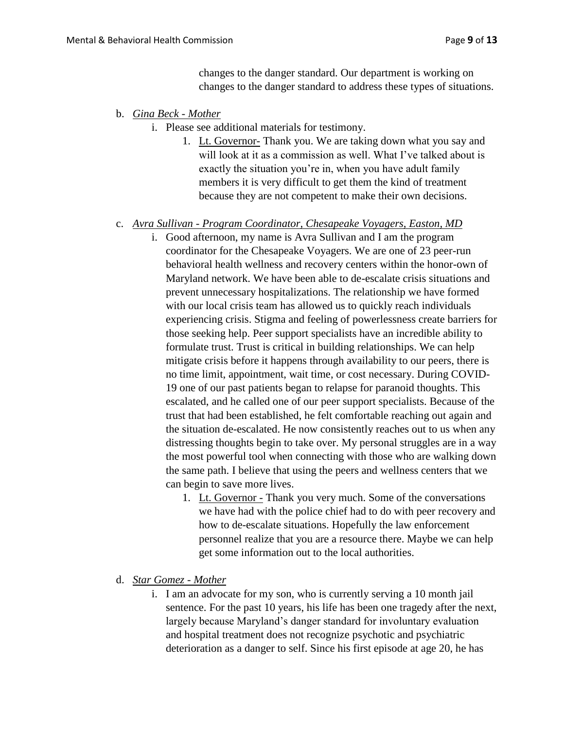changes to the danger standard. Our department is working on changes to the danger standard to address these types of situations.

- b. *Gina Beck - Mother*
	- i. Please see additional materials for testimony.
		- 1. Lt. Governor- Thank you. We are taking down what you say and will look at it as a commission as well. What I've talked about is exactly the situation you're in, when you have adult family members it is very difficult to get them the kind of treatment because they are not competent to make their own decisions.

### c. *Avra Sullivan - Program Coordinator, Chesapeake Voyagers, Easton, MD*

- i. Good afternoon, my name is Avra Sullivan and I am the program coordinator for the Chesapeake Voyagers. We are one of 23 peer-run behavioral health wellness and recovery centers within the honor-own of Maryland network. We have been able to de-escalate crisis situations and prevent unnecessary hospitalizations. The relationship we have formed with our local crisis team has allowed us to quickly reach individuals experiencing crisis. Stigma and feeling of powerlessness create barriers for those seeking help. Peer support specialists have an incredible ability to formulate trust. Trust is critical in building relationships. We can help mitigate crisis before it happens through availability to our peers, there is no time limit, appointment, wait time, or cost necessary. During COVID-19 one of our past patients began to relapse for paranoid thoughts. This escalated, and he called one of our peer support specialists. Because of the trust that had been established, he felt comfortable reaching out again and the situation de-escalated. He now consistently reaches out to us when any distressing thoughts begin to take over. My personal struggles are in a way the most powerful tool when connecting with those who are walking down the same path. I believe that using the peers and wellness centers that we can begin to save more lives.
	- 1. Lt. Governor Thank you very much. Some of the conversations we have had with the police chief had to do with peer recovery and how to de-escalate situations. Hopefully the law enforcement personnel realize that you are a resource there. Maybe we can help get some information out to the local authorities.
- d. *Star Gomez - Mother*
	- i. I am an advocate for my son, who is currently serving a 10 month jail sentence. For the past 10 years, his life has been one tragedy after the next, largely because Maryland's danger standard for involuntary evaluation and hospital treatment does not recognize psychotic and psychiatric deterioration as a danger to self. Since his first episode at age 20, he has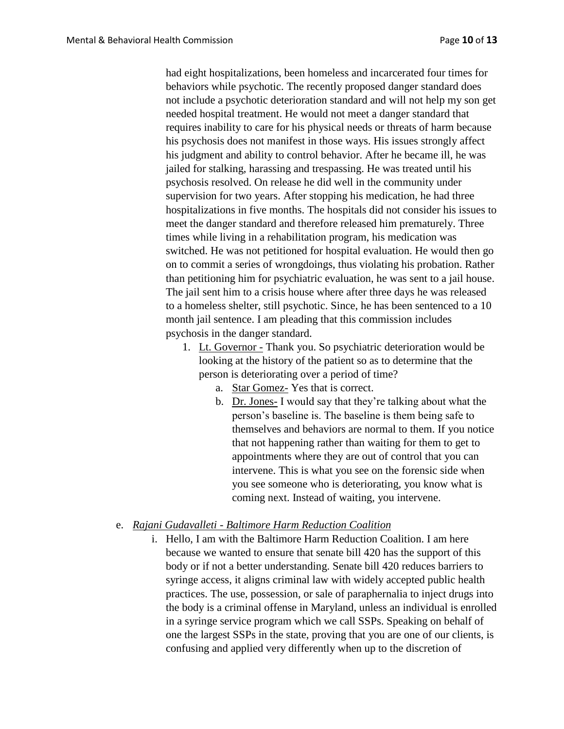had eight hospitalizations, been homeless and incarcerated four times for behaviors while psychotic. The recently proposed danger standard does not include a psychotic deterioration standard and will not help my son get needed hospital treatment. He would not meet a danger standard that requires inability to care for his physical needs or threats of harm because his psychosis does not manifest in those ways. His issues strongly affect his judgment and ability to control behavior. After he became ill, he was jailed for stalking, harassing and trespassing. He was treated until his psychosis resolved. On release he did well in the community under supervision for two years. After stopping his medication, he had three hospitalizations in five months. The hospitals did not consider his issues to meet the danger standard and therefore released him prematurely. Three times while living in a rehabilitation program, his medication was switched. He was not petitioned for hospital evaluation. He would then go on to commit a series of wrongdoings, thus violating his probation. Rather than petitioning him for psychiatric evaluation, he was sent to a jail house. The jail sent him to a crisis house where after three days he was released to a homeless shelter, still psychotic. Since, he has been sentenced to a 10 month jail sentence. I am pleading that this commission includes psychosis in the danger standard.

- 1. Lt. Governor Thank you. So psychiatric deterioration would be looking at the history of the patient so as to determine that the person is deteriorating over a period of time?
	- a. Star Gomez- Yes that is correct.
	- b. Dr. Jones- I would say that they're talking about what the person's baseline is. The baseline is them being safe to themselves and behaviors are normal to them. If you notice that not happening rather than waiting for them to get to appointments where they are out of control that you can intervene. This is what you see on the forensic side when you see someone who is deteriorating, you know what is coming next. Instead of waiting, you intervene.

#### e. *Rajani Gudavalleti - Baltimore Harm Reduction Coalition*

i. Hello, I am with the Baltimore Harm Reduction Coalition. I am here because we wanted to ensure that senate bill 420 has the support of this body or if not a better understanding. Senate bill 420 reduces barriers to syringe access, it aligns criminal law with widely accepted public health practices. The use, possession, or sale of paraphernalia to inject drugs into the body is a criminal offense in Maryland, unless an individual is enrolled in a syringe service program which we call SSPs. Speaking on behalf of one the largest SSPs in the state, proving that you are one of our clients, is confusing and applied very differently when up to the discretion of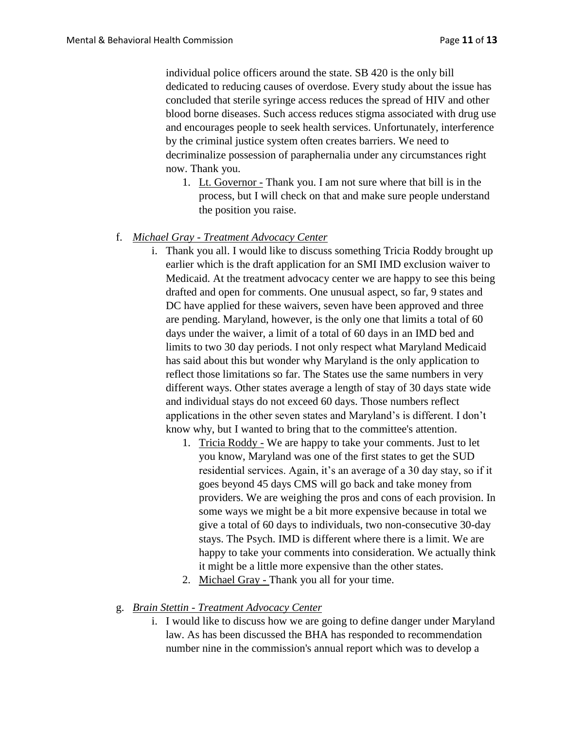individual police officers around the state. SB 420 is the only bill dedicated to reducing causes of overdose. Every study about the issue has concluded that sterile syringe access reduces the spread of HIV and other blood borne diseases. Such access reduces stigma associated with drug use and encourages people to seek health services. Unfortunately, interference by the criminal justice system often creates barriers. We need to decriminalize possession of paraphernalia under any circumstances right now. Thank you.

1. Lt. Governor - Thank you. I am not sure where that bill is in the process, but I will check on that and make sure people understand the position you raise.

### f. *Michael Gray - Treatment Advocacy Center*

- i. Thank you all. I would like to discuss something Tricia Roddy brought up earlier which is the draft application for an SMI IMD exclusion waiver to Medicaid. At the treatment advocacy center we are happy to see this being drafted and open for comments. One unusual aspect, so far, 9 states and DC have applied for these waivers, seven have been approved and three are pending. Maryland, however, is the only one that limits a total of 60 days under the waiver, a limit of a total of 60 days in an IMD bed and limits to two 30 day periods. I not only respect what Maryland Medicaid has said about this but wonder why Maryland is the only application to reflect those limitations so far. The States use the same numbers in very different ways. Other states average a length of stay of 30 days state wide and individual stays do not exceed 60 days. Those numbers reflect applications in the other seven states and Maryland's is different. I don't know why, but I wanted to bring that to the committee's attention.
	- 1. Tricia Roddy We are happy to take your comments. Just to let you know, Maryland was one of the first states to get the SUD residential services. Again, it's an average of a 30 day stay, so if it goes beyond 45 days CMS will go back and take money from providers. We are weighing the pros and cons of each provision. In some ways we might be a bit more expensive because in total we give a total of 60 days to individuals, two non-consecutive 30-day stays. The Psych. IMD is different where there is a limit. We are happy to take your comments into consideration. We actually think it might be a little more expensive than the other states.
	- 2. Michael Gray Thank you all for your time.
- g. *Brain Stettin - Treatment Advocacy Center*
	- i. I would like to discuss how we are going to define danger under Maryland law. As has been discussed the BHA has responded to recommendation number nine in the commission's annual report which was to develop a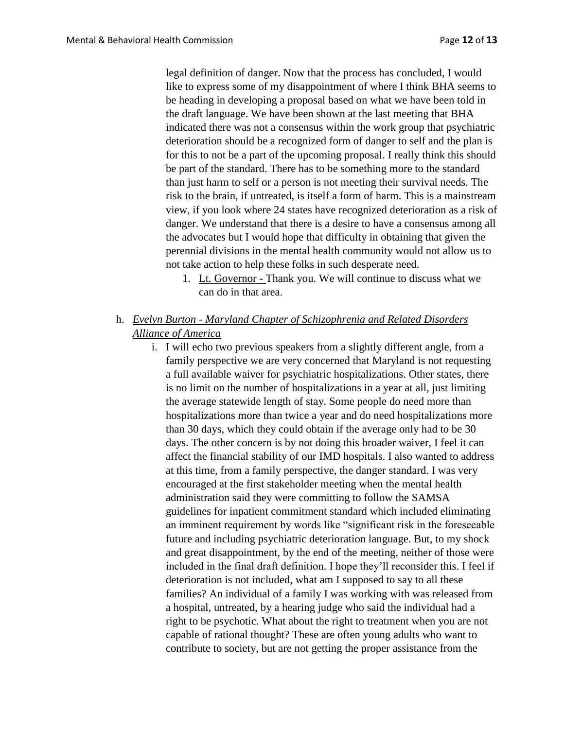legal definition of danger. Now that the process has concluded, I would like to express some of my disappointment of where I think BHA seems to be heading in developing a proposal based on what we have been told in the draft language. We have been shown at the last meeting that BHA indicated there was not a consensus within the work group that psychiatric deterioration should be a recognized form of danger to self and the plan is for this to not be a part of the upcoming proposal. I really think this should be part of the standard. There has to be something more to the standard than just harm to self or a person is not meeting their survival needs. The risk to the brain, if untreated, is itself a form of harm. This is a mainstream view, if you look where 24 states have recognized deterioration as a risk of danger. We understand that there is a desire to have a consensus among all the advocates but I would hope that difficulty in obtaining that given the perennial divisions in the mental health community would not allow us to not take action to help these folks in such desperate need.

- 1. Lt. Governor Thank you. We will continue to discuss what we can do in that area.
- h. *Evelyn Burton - Maryland Chapter of Schizophrenia and Related Disorders Alliance of America*
	- i. I will echo two previous speakers from a slightly different angle, from a family perspective we are very concerned that Maryland is not requesting a full available waiver for psychiatric hospitalizations. Other states, there is no limit on the number of hospitalizations in a year at all, just limiting the average statewide length of stay. Some people do need more than hospitalizations more than twice a year and do need hospitalizations more than 30 days, which they could obtain if the average only had to be 30 days. The other concern is by not doing this broader waiver, I feel it can affect the financial stability of our IMD hospitals. I also wanted to address at this time, from a family perspective, the danger standard. I was very encouraged at the first stakeholder meeting when the mental health administration said they were committing to follow the SAMSA guidelines for inpatient commitment standard which included eliminating an imminent requirement by words like "significant risk in the foreseeable future and including psychiatric deterioration language. But, to my shock and great disappointment, by the end of the meeting, neither of those were included in the final draft definition. I hope they'll reconsider this. I feel if deterioration is not included, what am I supposed to say to all these families? An individual of a family I was working with was released from a hospital, untreated, by a hearing judge who said the individual had a right to be psychotic. What about the right to treatment when you are not capable of rational thought? These are often young adults who want to contribute to society, but are not getting the proper assistance from the